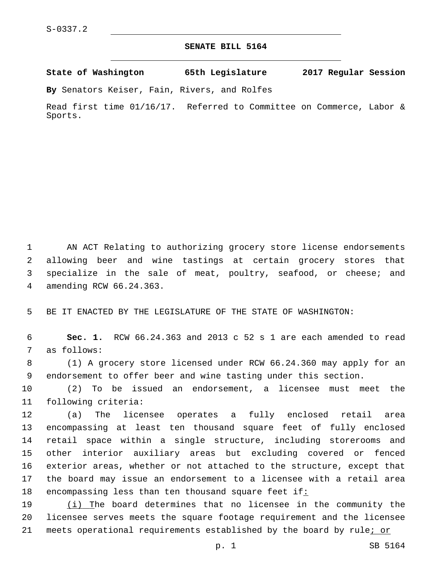## **SENATE BILL 5164**

**State of Washington 65th Legislature 2017 Regular Session**

**By** Senators Keiser, Fain, Rivers, and Rolfes

Read first time 01/16/17. Referred to Committee on Commerce, Labor & Sports.

 AN ACT Relating to authorizing grocery store license endorsements allowing beer and wine tastings at certain grocery stores that specialize in the sale of meat, poultry, seafood, or cheese; and amending RCW 66.24.363.4

BE IT ENACTED BY THE LEGISLATURE OF THE STATE OF WASHINGTON:

 **Sec. 1.** RCW 66.24.363 and 2013 c 52 s 1 are each amended to read 7 as follows:

 (1) A grocery store licensed under RCW 66.24.360 may apply for an endorsement to offer beer and wine tasting under this section.

 (2) To be issued an endorsement, a licensee must meet the 11 following criteria:

 (a) The licensee operates a fully enclosed retail area encompassing at least ten thousand square feet of fully enclosed retail space within a single structure, including storerooms and other interior auxiliary areas but excluding covered or fenced exterior areas, whether or not attached to the structure, except that the board may issue an endorsement to a licensee with a retail area encompassing less than ten thousand square feet if:

 (i) The board determines that no licensee in the community the licensee serves meets the square footage requirement and the licensee 21 meets operational requirements established by the board by rule; or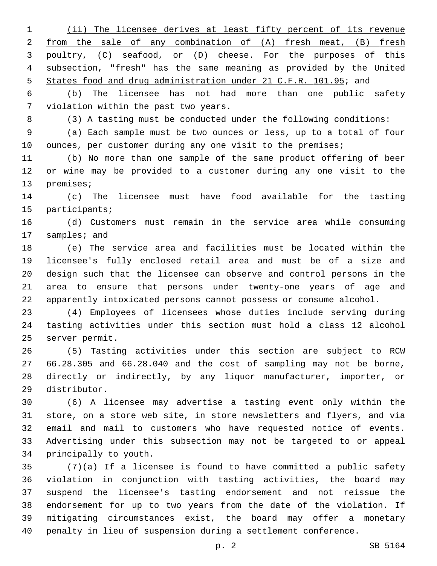(ii) The licensee derives at least fifty percent of its revenue from the sale of any combination of (A) fresh meat, (B) fresh poultry, (C) seafood, or (D) cheese. For the purposes of this subsection, "fresh" has the same meaning as provided by the United 5 States food and drug administration under 21 C.F.R. 101.95; and

 (b) The licensee has not had more than one public safety 7 violation within the past two years.

(3) A tasting must be conducted under the following conditions:

 (a) Each sample must be two ounces or less, up to a total of four 10 ounces, per customer during any one visit to the premises;

 (b) No more than one sample of the same product offering of beer or wine may be provided to a customer during any one visit to the 13 premises;

 (c) The licensee must have food available for the tasting 15 participants;

 (d) Customers must remain in the service area while consuming 17 samples; and

 (e) The service area and facilities must be located within the licensee's fully enclosed retail area and must be of a size and design such that the licensee can observe and control persons in the area to ensure that persons under twenty-one years of age and apparently intoxicated persons cannot possess or consume alcohol.

 (4) Employees of licensees whose duties include serving during tasting activities under this section must hold a class 12 alcohol 25 server permit.

 (5) Tasting activities under this section are subject to RCW 66.28.305 and 66.28.040 and the cost of sampling may not be borne, directly or indirectly, by any liquor manufacturer, importer, or 29 distributor.

 (6) A licensee may advertise a tasting event only within the store, on a store web site, in store newsletters and flyers, and via email and mail to customers who have requested notice of events. Advertising under this subsection may not be targeted to or appeal 34 principally to youth.

 (7)(a) If a licensee is found to have committed a public safety violation in conjunction with tasting activities, the board may suspend the licensee's tasting endorsement and not reissue the endorsement for up to two years from the date of the violation. If mitigating circumstances exist, the board may offer a monetary penalty in lieu of suspension during a settlement conference.